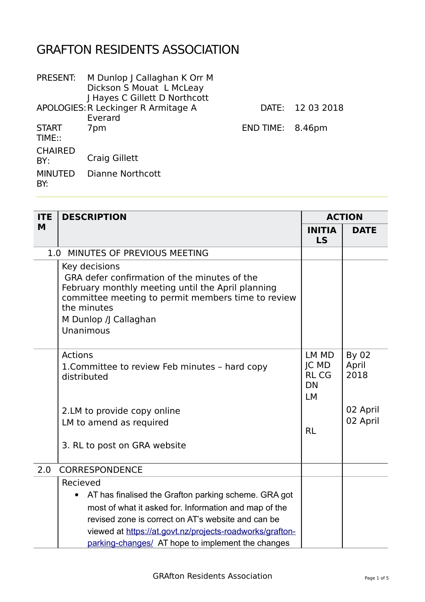## GRAFTON RESIDENTS ASSOCIATION

|                       | PRESENT: M Dunlop   Callaghan K Orr M<br>Dickson S Mouat L McLeay<br>J Hayes C Gillett D Northcott |                  |            |
|-----------------------|----------------------------------------------------------------------------------------------------|------------------|------------|
|                       | APOLOGIES: R Leckinger R Armitage A                                                                | DATE:            | 12 03 2018 |
|                       | Everard                                                                                            |                  |            |
| <b>START</b>          | 7pm                                                                                                | END TIME: 8.46pm |            |
| TIME::                |                                                                                                    |                  |            |
| <b>CHAIRED</b>        |                                                                                                    |                  |            |
| BY:                   | Craig Gillett                                                                                      |                  |            |
| <b>MINUTED</b><br>BY: | Dianne Northcott                                                                                   |                  |            |
|                       |                                                                                                    |                  |            |

| <b>ITE</b> | <b>DESCRIPTION</b>                                                                                                                                                                                                                                                                        |                                                         | <b>ACTION</b>                 |  |
|------------|-------------------------------------------------------------------------------------------------------------------------------------------------------------------------------------------------------------------------------------------------------------------------------------------|---------------------------------------------------------|-------------------------------|--|
| M          |                                                                                                                                                                                                                                                                                           | <b>INITIA</b><br>LS                                     | <b>DATE</b>                   |  |
|            | 1.0 MINUTES OF PREVIOUS MEETING                                                                                                                                                                                                                                                           |                                                         |                               |  |
|            | Key decisions<br>GRA defer confirmation of the minutes of the<br>February monthly meeting until the April planning<br>committee meeting to permit members time to review<br>the minutes<br>M Dunlop /J Callaghan<br>Unanimous                                                             |                                                         |                               |  |
|            | <b>Actions</b><br>1. Committee to review Feb minutes - hard copy<br>distributed                                                                                                                                                                                                           | LM MD<br>JC MD<br><b>RLCG</b><br><b>DN</b><br><b>LM</b> | <b>By 02</b><br>April<br>2018 |  |
|            | 2.LM to provide copy online                                                                                                                                                                                                                                                               |                                                         | 02 April                      |  |
|            | LM to amend as required                                                                                                                                                                                                                                                                   | <b>RL</b>                                               | 02 April                      |  |
|            | 3. RL to post on GRA website                                                                                                                                                                                                                                                              |                                                         |                               |  |
| 2.0        | <b>CORRESPONDENCE</b>                                                                                                                                                                                                                                                                     |                                                         |                               |  |
|            | Recieved                                                                                                                                                                                                                                                                                  |                                                         |                               |  |
|            | AT has finalised the Grafton parking scheme. GRA got<br>٠<br>most of what it asked for. Information and map of the<br>revised zone is correct on AT's website and can be<br>viewed at https://at.govt.nz/projects-roadworks/grafton-<br>parking-changes/ AT hope to implement the changes |                                                         |                               |  |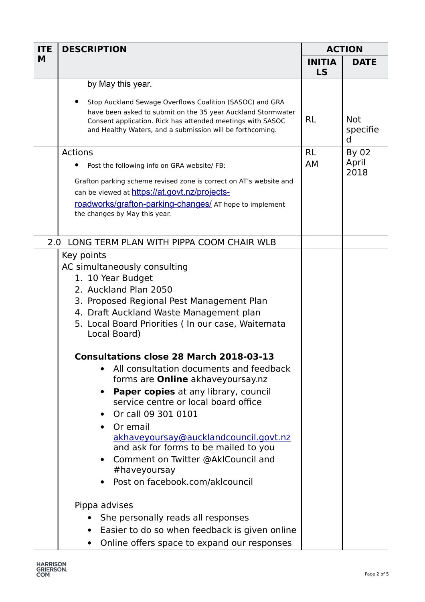| <b>ITE</b> | <b>DESCRIPTION</b>                                                                                                                                                                                                                                  | <b>ACTION</b>       |                             |
|------------|-----------------------------------------------------------------------------------------------------------------------------------------------------------------------------------------------------------------------------------------------------|---------------------|-----------------------------|
| M          |                                                                                                                                                                                                                                                     | <b>INITIA</b><br>LS | <b>DATE</b>                 |
|            | by May this year.                                                                                                                                                                                                                                   |                     |                             |
|            | Stop Auckland Sewage Overflows Coalition (SASOC) and GRA<br>have been asked to submit on the 35 year Auckland Stormwater<br>Consent application. Rick has attended meetings with SASOC<br>and Healthy Waters, and a submission will be forthcoming. | <b>RL</b>           | <b>Not</b><br>specifie<br>d |
|            | <b>Actions</b>                                                                                                                                                                                                                                      | <b>RL</b>           | By 02                       |
|            | Post the following info on GRA website/ FB:                                                                                                                                                                                                         | AM                  | April<br>2018               |
|            | Grafton parking scheme revised zone is correct on AT's website and                                                                                                                                                                                  |                     |                             |
|            | can be viewed at https://at.govt.nz/projects-                                                                                                                                                                                                       |                     |                             |
|            | roadworks/grafton-parking-changes/ AT hope to implement                                                                                                                                                                                             |                     |                             |
|            | the changes by May this year.                                                                                                                                                                                                                       |                     |                             |
| 2.0        | LONG TERM PLAN WITH PIPPA COOM CHAIR WLB                                                                                                                                                                                                            |                     |                             |
|            | Key points                                                                                                                                                                                                                                          |                     |                             |
|            | AC simultaneously consulting                                                                                                                                                                                                                        |                     |                             |
|            | 1. 10 Year Budget                                                                                                                                                                                                                                   |                     |                             |
|            | 2. Auckland Plan 2050                                                                                                                                                                                                                               |                     |                             |
|            | 3. Proposed Regional Pest Management Plan                                                                                                                                                                                                           |                     |                             |
|            | 4. Draft Auckland Waste Management plan                                                                                                                                                                                                             |                     |                             |
|            | 5. Local Board Priorities (In our case, Waitemata<br>Local Board)                                                                                                                                                                                   |                     |                             |
|            | <b>Consultations close 28 March 2018-03-13</b>                                                                                                                                                                                                      |                     |                             |
|            | All consultation documents and feedback                                                                                                                                                                                                             |                     |                             |
|            | forms are <b>Online</b> akhaveyoursay.nz                                                                                                                                                                                                            |                     |                             |
|            | <b>Paper copies</b> at any library, council<br>$\bullet$                                                                                                                                                                                            |                     |                             |
|            | service centre or local board office                                                                                                                                                                                                                |                     |                             |
|            | Or call 09 301 0101                                                                                                                                                                                                                                 |                     |                             |
|            | Or email<br>$\bullet$                                                                                                                                                                                                                               |                     |                             |
|            | akhaveyoursay@aucklandcouncil.govt.nz                                                                                                                                                                                                               |                     |                             |
|            | and ask for forms to be mailed to you                                                                                                                                                                                                               |                     |                             |
|            | Comment on Twitter @AklCouncil and<br>$\bullet$<br>#haveyoursay                                                                                                                                                                                     |                     |                             |
|            | Post on facebook.com/aklcouncil<br>$\bullet$                                                                                                                                                                                                        |                     |                             |
|            | Pippa advises                                                                                                                                                                                                                                       |                     |                             |
|            | She personally reads all responses                                                                                                                                                                                                                  |                     |                             |
|            | Easier to do so when feedback is given online                                                                                                                                                                                                       |                     |                             |
|            | Online offers space to expand our responses                                                                                                                                                                                                         |                     |                             |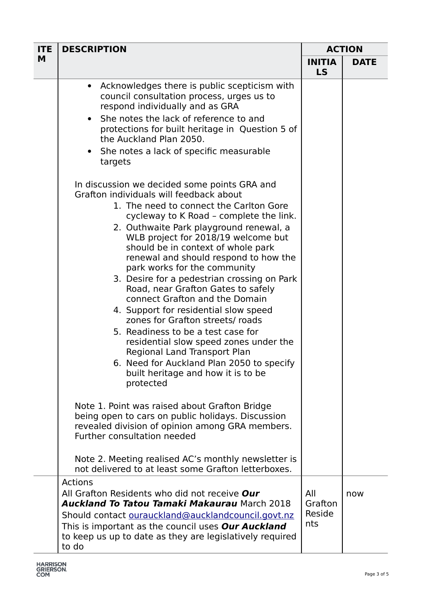| <b>ITE</b> | <b>DESCRIPTION</b>                                                                                                                                                                                                                                                                                                                                                                                                                                                                                                                                                                                                                                                                                                                                | <b>ACTION</b>                   |             |
|------------|---------------------------------------------------------------------------------------------------------------------------------------------------------------------------------------------------------------------------------------------------------------------------------------------------------------------------------------------------------------------------------------------------------------------------------------------------------------------------------------------------------------------------------------------------------------------------------------------------------------------------------------------------------------------------------------------------------------------------------------------------|---------------------------------|-------------|
| M          |                                                                                                                                                                                                                                                                                                                                                                                                                                                                                                                                                                                                                                                                                                                                                   | <b>INITIA</b><br>LS             | <b>DATE</b> |
|            | Acknowledges there is public scepticism with<br>$\bullet$<br>council consultation process, urges us to<br>respond individually and as GRA<br>She notes the lack of reference to and<br>$\bullet$<br>protections for built heritage in Question 5 of<br>the Auckland Plan 2050.<br>She notes a lack of specific measurable<br>$\bullet$<br>targets<br>In discussion we decided some points GRA and                                                                                                                                                                                                                                                                                                                                                 |                                 |             |
|            | Grafton individuals will feedback about<br>1. The need to connect the Carlton Gore<br>cycleway to K Road - complete the link.<br>2. Outhwaite Park playground renewal, a<br>WLB project for 2018/19 welcome but<br>should be in context of whole park<br>renewal and should respond to how the<br>park works for the community<br>3. Desire for a pedestrian crossing on Park<br>Road, near Grafton Gates to safely<br>connect Grafton and the Domain<br>4. Support for residential slow speed<br>zones for Grafton streets/roads<br>5. Readiness to be a test case for<br>residential slow speed zones under the<br>Regional Land Transport Plan<br>6. Need for Auckland Plan 2050 to specify<br>built heritage and how it is to be<br>protected |                                 |             |
|            | Note 1. Point was raised about Grafton Bridge<br>being open to cars on public holidays. Discussion<br>revealed division of opinion among GRA members.<br>Further consultation needed                                                                                                                                                                                                                                                                                                                                                                                                                                                                                                                                                              |                                 |             |
|            | Note 2. Meeting realised AC's monthly newsletter is<br>not delivered to at least some Grafton letterboxes.                                                                                                                                                                                                                                                                                                                                                                                                                                                                                                                                                                                                                                        |                                 |             |
|            | <b>Actions</b><br>All Grafton Residents who did not receive Our<br><b>Auckland To Tatou Tamaki Makaurau March 2018</b><br>Should contact ourauckland@aucklandcouncil.govt.nz<br>This is important as the council uses Our Auckland<br>to keep us up to date as they are legislatively required<br>to do                                                                                                                                                                                                                                                                                                                                                                                                                                           | All<br>Grafton<br>Reside<br>nts | now         |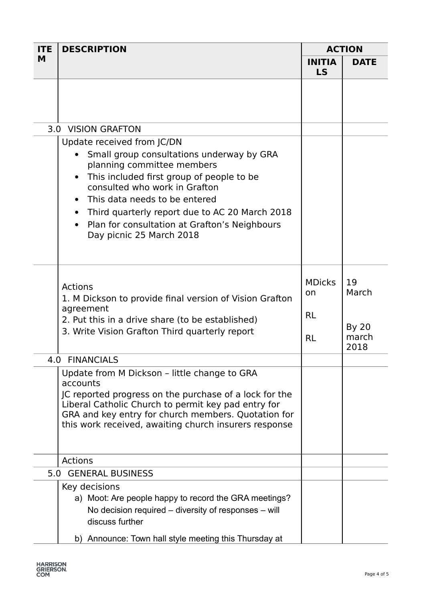| <b>ITE</b> | <b>DESCRIPTION</b>                                                                                                                                                                                                                                                                                                                                  | <b>ACTION</b>                                  |                                              |
|------------|-----------------------------------------------------------------------------------------------------------------------------------------------------------------------------------------------------------------------------------------------------------------------------------------------------------------------------------------------------|------------------------------------------------|----------------------------------------------|
| M          |                                                                                                                                                                                                                                                                                                                                                     | <b>INITIA</b><br>LS                            | <b>DATE</b>                                  |
|            |                                                                                                                                                                                                                                                                                                                                                     |                                                |                                              |
|            | 3.0 VISION GRAFTON                                                                                                                                                                                                                                                                                                                                  |                                                |                                              |
|            | Update received from JC/DN<br>Small group consultations underway by GRA<br>planning committee members<br>This included first group of people to be<br>consulted who work in Grafton<br>This data needs to be entered<br>Third quarterly report due to AC 20 March 2018<br>Plan for consultation at Grafton's Neighbours<br>Day picnic 25 March 2018 |                                                |                                              |
|            | <b>Actions</b><br>1. M Dickson to provide final version of Vision Grafton<br>agreement<br>2. Put this in a drive share (to be established)<br>3. Write Vision Grafton Third quarterly report                                                                                                                                                        | <b>MDicks</b><br>on.<br><b>RL</b><br><b>RL</b> | 19<br>March<br><b>By 20</b><br>march<br>2018 |
|            | 4.0 FINANCIALS                                                                                                                                                                                                                                                                                                                                      |                                                |                                              |
|            | Update from M Dickson - little change to GRA<br>accounts<br>JC reported progress on the purchase of a lock for the<br>Liberal Catholic Church to permit key pad entry for<br>GRA and key entry for church members. Quotation for<br>this work received, awaiting church insurers response                                                           |                                                |                                              |
|            | <b>Actions</b>                                                                                                                                                                                                                                                                                                                                      |                                                |                                              |
|            | 5.0 GENERAL BUSINESS                                                                                                                                                                                                                                                                                                                                |                                                |                                              |
|            | Key decisions<br>a) Moot: Are people happy to record the GRA meetings?<br>No decision required – diversity of responses – will<br>discuss further<br>b) Announce: Town hall style meeting this Thursday at                                                                                                                                          |                                                |                                              |